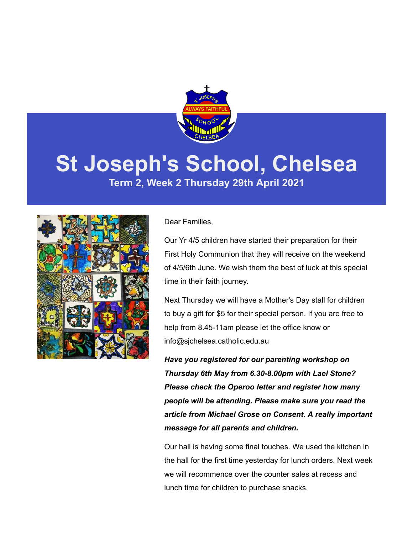

# **St Joseph's School, Chelsea**

**Term 2, Week 2 Thursday 29th April 2021**



### Dear Families,

Our Yr 4/5 children have started their preparation for their First Holy Communion that they will receive on the weekend of 4/5/6th June. We wish them the best of luck at this special time in their faith journey.

Next Thursday we will have a Mother's Day stall for children to buy a gift for \$5 for their special person. If you are free to help from 8.45-11am please let the office know or info@sjchelsea.catholic.edu.au

*Have you registered for our parenting workshop on Thursday 6th May from 6.30-8.00pm with Lael Stone? Please check the Operoo letter and register how many people will be attending. Please make sure you read the article from Michael Grose on Consent. A really important message for all parents and children.*

Our hall is having some final touches. We used the kitchen in the hall for the first time yesterday for lunch orders. Next week we will recommence over the counter sales at recess and lunch time for children to purchase snacks.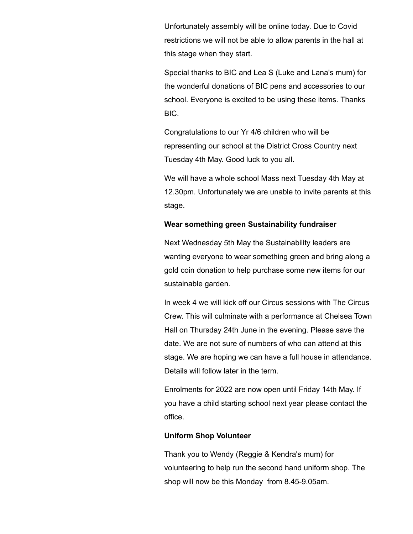Unfortunately assembly will be online today. Due to Covid restrictions we will not be able to allow parents in the hall at this stage when they start.

Special thanks to BIC and Lea S (Luke and Lana's mum) for the wonderful donations of BIC pens and accessories to our school. Everyone is excited to be using these items. Thanks BIC.

Congratulations to our Yr 4/6 children who will be representing our school at the District Cross Country next Tuesday 4th May. Good luck to you all.

We will have a whole school Mass next Tuesday 4th May at 12.30pm. Unfortunately we are unable to invite parents at this stage.

### **Wear something green Sustainability fundraiser**

Next Wednesday 5th May the Sustainability leaders are wanting everyone to wear something green and bring along a gold coin donation to help purchase some new items for our sustainable garden.

In week 4 we will kick off our Circus sessions with The Circus Crew. This will culminate with a performance at Chelsea Town Hall on Thursday 24th June in the evening. Please save the date. We are not sure of numbers of who can attend at this stage. We are hoping we can have a full house in attendance. Details will follow later in the term.

Enrolments for 2022 are now open until Friday 14th May. If you have a child starting school next year please contact the office.

### **Uniform Shop Volunteer**

Thank you to Wendy (Reggie & Kendra's mum) for volunteering to help run the second hand uniform shop. The shop will now be this Monday from 8.45-9.05am.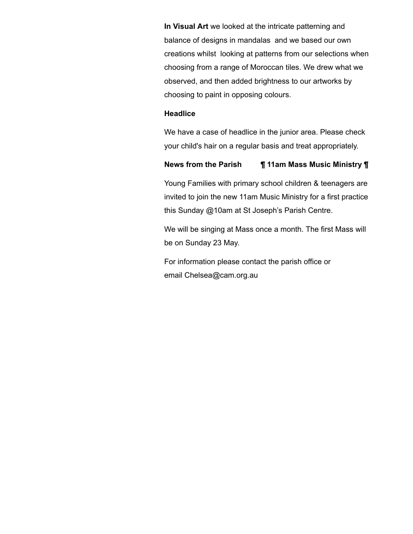**In Visual Art** we looked at the intricate patterning and balance of designs in mandalas and we based our own creations whilst looking at patterns from our selections when choosing from a range of Moroccan tiles. We drew what we observed, and then added brightness to our artworks by choosing to paint in opposing colours.

#### **Headlice**

We have a case of headlice in the junior area. Please check your child's hair on a regular basis and treat appropriately.

### **News from the Parish ¶ 11am Mass Music Ministry ¶**

Young Families with primary school children & teenagers are invited to join the new 11am Music Ministry for a first practice this Sunday @10am at St Joseph's Parish Centre.

We will be singing at Mass once a month. The first Mass will be on Sunday 23 May.

For information please contact the parish office or email [Chelsea@cam.org.au](mailto:Chelsea@cam.org.au)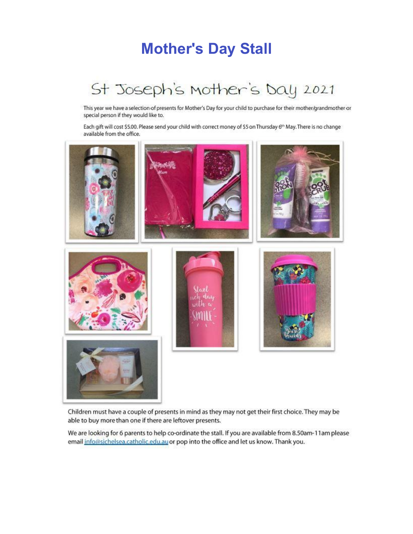### **Mother's Day Stall**

# St Joseph's Mother's Day 2021

This year we have a selection of presents for Mother's Day for your child to purchase for their mother/grandmother or special person if they would like to.

Each gift will cost \$5.00. Please send your child with correct money of \$5 on Thursday 6<sup>th</sup> May. There is no change available from the office.



Children must have a couple of presents in mind as they may not get their first choice. They may be able to buy more than one if there are leftover presents.

We are looking for 6 parents to help co-ordinate the stall. If you are available from 8.50am-11am please email info@sichelsea.catholic.edu.au or pop into the office and let us know. Thank you.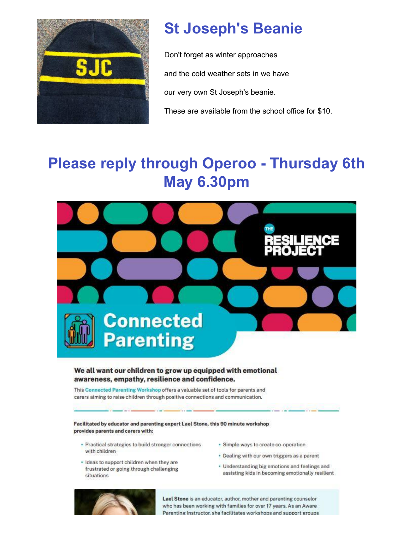

# **St Joseph's Beanie**

Don't forget as winter approaches and the cold weather sets in we have our very own St Joseph's beanie.

These are available from the school office for \$10.

# **Please reply through Operoo - Thursday 6th May 6.30pm**



### We all want our children to grow up equipped with emotional awareness, empathy, resilience and confidence.

This Connected Parenting Workshop offers a valuable set of tools for parents and carers aiming to raise children through positive connections and communication.

Facilitated by educator and parenting expert Lael Stone, this 90 minute workshop provides parents and carers with:

- · Practical strategies to build stronger connections with children
- · Ideas to support children when they are frustrated or going through challenging situations
- · Simple ways to create co-operation
- . Dealing with our own triggers as a parent
- Understanding big emotions and feelings and assisting kids in becoming emotionally resilient



Lael Stone is an educator, author, mother and parenting counselor who has been working with families for over 17 years. As an Aware Parenting Instructor, she facilitates workshops and support groups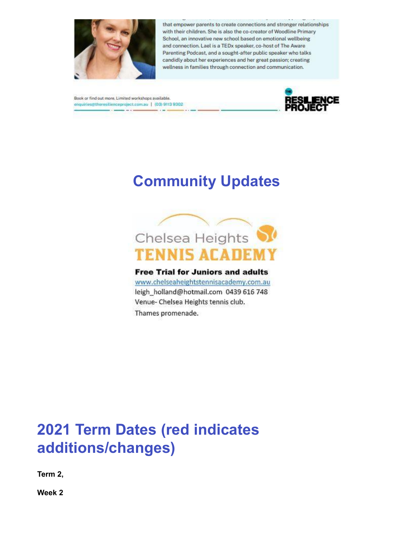

that empower parents to create connections and stronger relationships with their children. She is also the co-creator of Woodline Primary School, an innovative new school based on emotional wellbeing and connection. Lael is a TEDx speaker, co-host of The Aware Parenting Podcast, and a sought-after public speaker who talks candidly about her experiences and her great passion; creating wellness in families through connection and communication.

Book or find out more. Limited workshops available. enquiries@theresitienceproject.com.au | (03) 9113 9302  $-1$ 



### **Community Updates**



**Free Trial for Juniors and adults** 

www.chelseaheightstennisacademy.com.au leigh\_holland@hotmail.com 0439 616 748 Venue- Chelsea Heights tennis club. Thames promenade.

## **2021 Term Dates (red indicates additions/changes)**

**Term 2,** 

**Week 2**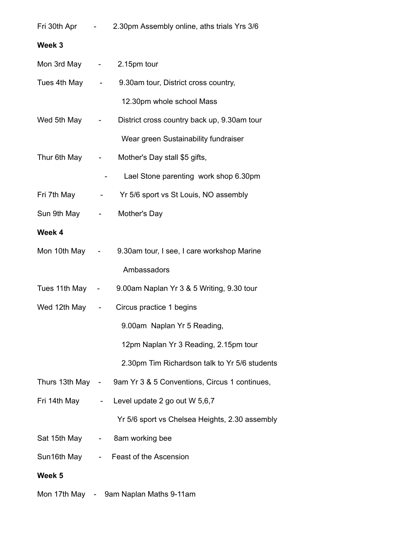|                            |                | Fri 30th Apr - 2.30pm Assembly online, aths trials Yrs 3/6     |
|----------------------------|----------------|----------------------------------------------------------------|
| Week 3                     |                |                                                                |
| Mon 3rd May - 2.15pm tour  |                |                                                                |
|                            |                | Tues 4th May - 9.30am tour, District cross country,            |
|                            |                | 12.30pm whole school Mass                                      |
| Wed 5th May -              |                | District cross country back up, 9.30am tour                    |
|                            |                | Wear green Sustainability fundraiser                           |
|                            |                | Thur 6th May - Mother's Day stall \$5 gifts,                   |
|                            | $\blacksquare$ | Lael Stone parenting work shop 6.30pm                          |
|                            |                | Fri 7th May - Yr 5/6 sport vs St Louis, NO assembly            |
| Sun 9th May - Mother's Day |                |                                                                |
| Week 4                     |                |                                                                |
|                            |                | Mon 10th May - 9.30am tour, I see, I care workshop Marine      |
|                            |                | Ambassadors                                                    |
|                            |                | Tues 11th May - 9.00am Naplan Yr 3 & 5 Writing, 9.30 tour      |
|                            |                | Wed 12th May - Circus practice 1 begins                        |
|                            |                | 9.00am Naplan Yr 5 Reading,                                    |
|                            |                | 12pm Naplan Yr 3 Reading, 2.15pm tour                          |
|                            |                | 2.30pm Tim Richardson talk to Yr 5/6 students                  |
|                            |                | Thurs 13th May - 9am Yr 3 & 5 Conventions, Circus 1 continues, |
| Fri 14th May               |                | - Level update 2 go out W 5,6,7                                |
|                            |                | Yr 5/6 sport vs Chelsea Heights, 2.30 assembly                 |
|                            |                | Sat 15th May - 8am working bee                                 |
|                            |                | Sun16th May - Feast of the Ascension                           |
| Week 5                     |                |                                                                |
|                            |                | Mon 17th May - 9am Naplan Maths 9-11am                         |